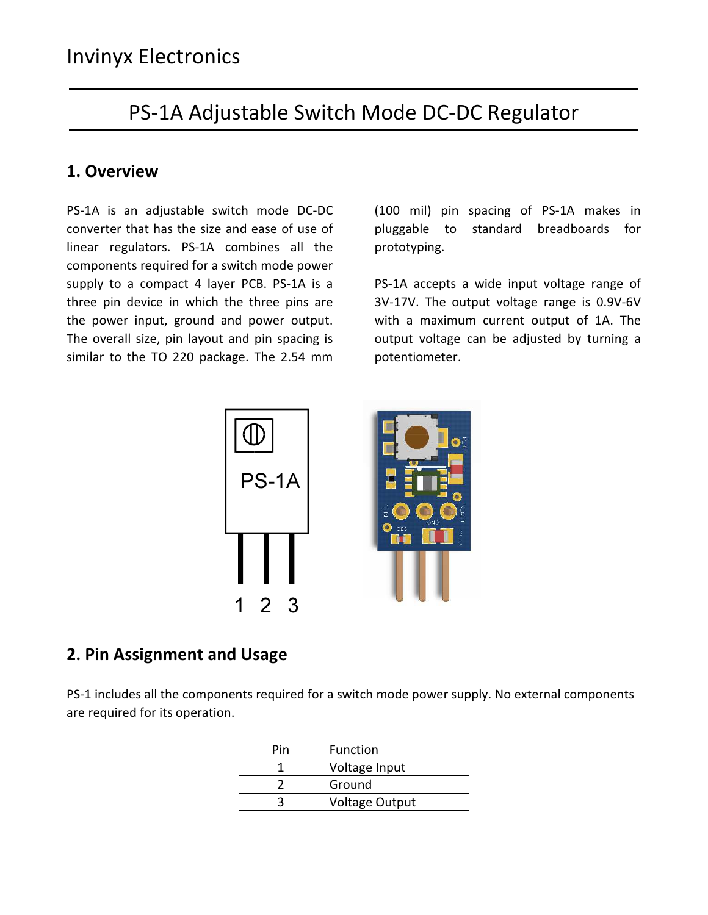# PS-1A Adjustable Switch Mode DC-DC Regulator

#### 1. Overview

PS-1A is an adjustable switch mode DC-DC converter that has the size and ease of use of linear regulators. PS-1A combines all the components required for a switch mode power supply to a compact 4 layer PCB. PS-1A is a three pin device in which the three pins are the power input, ground and power output. The overall size, pin layout and pin spacing is similar to the TO 220 package. The 2.54 mm

(100 mil) pin spacing of PS-1A makes in pluggable to standard breadboards for prototyping.

PS-1A accepts a wide input voltage range of 3V-17V. The output voltage range is 0.9V-6V with a maximum current output of 1A. The output voltage can be adjusted by turning a potentiometer.



#### 2. Pin Assignment and Usage

PS-1 includes all the components required for a switch mode power supply. No external components are required for its operation.

| Pin | Function              |  |
|-----|-----------------------|--|
|     | Voltage Input         |  |
|     | Ground                |  |
|     | <b>Voltage Output</b> |  |